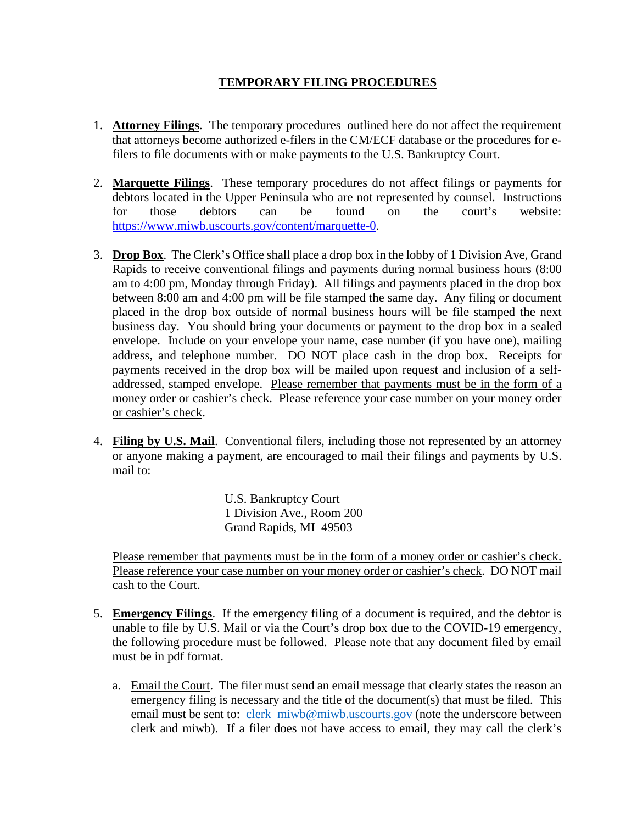## **TEMPORARY FILING PROCEDURES**

- 1. **Attorney Filings**. The temporary procedures outlined here do not affect the requirement that attorneys become authorized e-filers in the CM/ECF database or the procedures for efilers to file documents with or make payments to the U.S. Bankruptcy Court.
- 2. **Marquette Filings**. These temporary procedures do not affect filings or payments for debtors located in the Upper Peninsula who are not represented by counsel. Instructions for those debtors can be found on the court's website: https://www.miwb.uscourts.gov/content/marquette-0.
- 3. **Drop Box**. The Clerk's Office shall place a drop box in the lobby of 1 Division Ave, Grand Rapids to receive conventional filings and payments during normal business hours (8:00 am to 4:00 pm, Monday through Friday). All filings and payments placed in the drop box between 8:00 am and 4:00 pm will be file stamped the same day. Any filing or document placed in the drop box outside of normal business hours will be file stamped the next business day. You should bring your documents or payment to the drop box in a sealed envelope. Include on your envelope your name, case number (if you have one), mailing address, and telephone number. DO NOT place cash in the drop box. Receipts for payments received in the drop box will be mailed upon request and inclusion of a selfaddressed, stamped envelope. Please remember that payments must be in the form of a money order or cashier's check. Please reference your case number on your money order or cashier's check.
- 4. **Filing by U.S. Mail**. Conventional filers, including those not represented by an attorney or anyone making a payment, are encouraged to mail their filings and payments by U.S. mail to:

U.S. Bankruptcy Court 1 Division Ave., Room 200 Grand Rapids, MI 49503

Please remember that payments must be in the form of a money order or cashier's check. Please reference your case number on your money order or cashier's check. DO NOT mail cash to the Court.

- 5. **Emergency Filings**. If the emergency filing of a document is required, and the debtor is unable to file by U.S. Mail or via the Court's drop box due to the COVID-19 emergency, the following procedure must be followed. Please note that any document filed by email must be in pdf format.
	- a. Email the Court. The filer must send an email message that clearly states the reason an emergency filing is necessary and the title of the document(s) that must be filed. This email must be sent to: clerk miwb@miwb.uscourts.gov (note the underscore between clerk and miwb). If a filer does not have access to email, they may call the clerk's